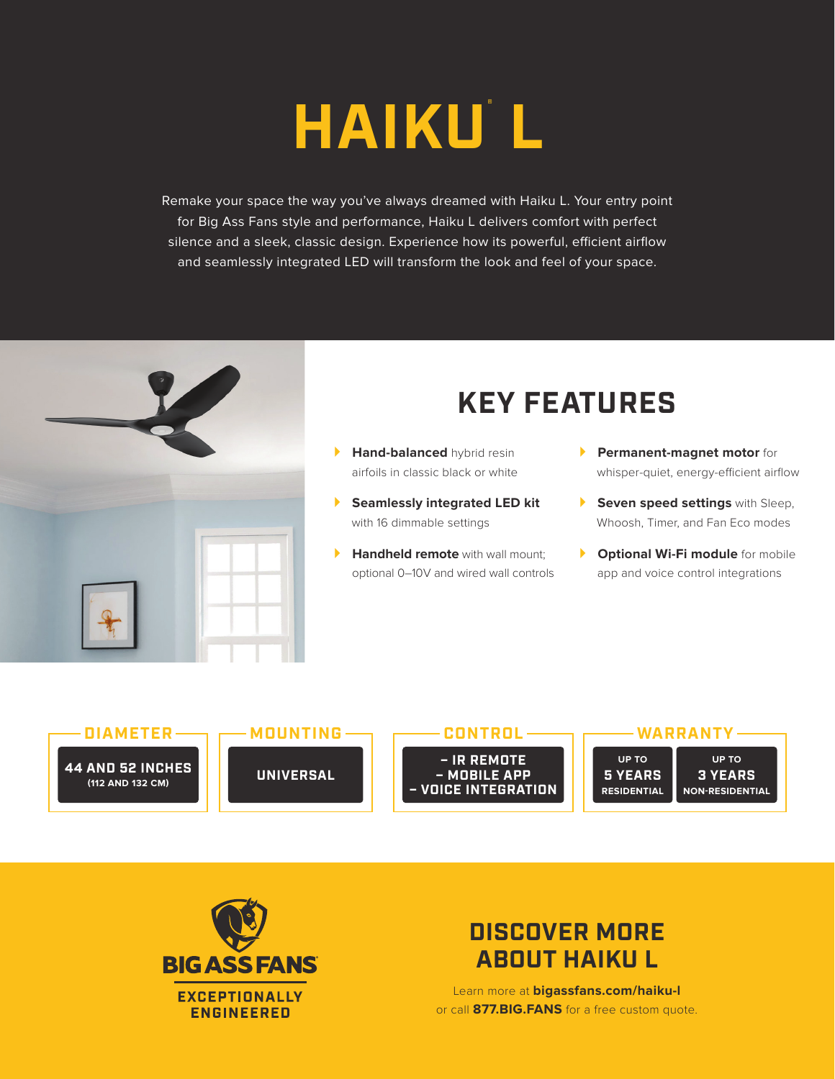## **HAIKU® L**

Remake your space the way you've always dreamed with Haiku L. Your entry point for Big Ass Fans style and performance, Haiku L delivers comfort with perfect silence and a sleek, classic design. Experience how its powerful, efficient airflow and seamlessly integrated LED will transform the look and feel of your space.



## **KEY FEATURES**

- **Hand-balanced** hybrid resin airfoils in classic black or white
- **Seamlessly integrated LED kit** with 16 dimmable settings
- **Handheld remote** with wall mount: optional 0–10V and wired wall controls
- **Permanent-magnet motor** for whisper-quiet, energy-efficient airflow
- **Seven speed settings** with Sleep, Whoosh, Timer, and Fan Eco modes
- **P Optional Wi-Fi module** for mobile app and voice control integrations





## **DISCOVER MORE ABOUT HAIKU L**

Learn more at **bigassfans.com/haiku-l** or call **877.BIG.FANS** for a free custom quote.